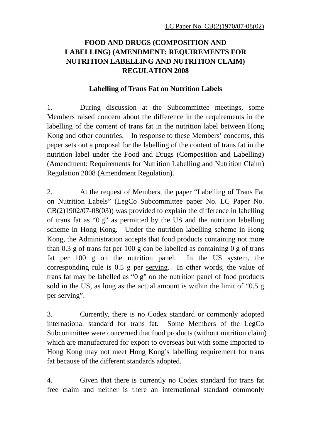# **FOOD AND DRUGS (COMPOSITION AND LABELLING) (AMENDMENT: REQUIREMENTS FOR NUTRITION LABELLING AND NUTRITION CLAIM) REGULATION 2008**

#### **Labelling of Trans Fat on Nutrition Labels**

1. During discussion at the Subcommittee meetings, some Members raised concern about the difference in the requirements in the labelling of the content of trans fat in the nutrition label between Hong Kong and other countries. In response to these Members' concerns, this paper sets out a proposal for the labelling of the content of trans fat in the nutrition label under the Food and Drugs (Composition and Labelling) (Amendment: Requirements for Nutrition Labelling and Nutrition Claim) Regulation 2008 (Amendment Regulation).

2. At the request of Members, the paper "Labelling of Trans Fat on Nutrition Labels" (LegCo Subcommittee paper No. LC Paper No. CB(2)1902/07-08(03)) was provided to explain the difference in labelling of trans fat as "0 g" as permitted by the US and the nutrition labelling scheme in Hong Kong. Under the nutrition labelling scheme in Hong Kong, the Administration accepts that food products containing not more than 0.3 g of trans fat per 100 g can be labelled as containing  $\theta$  g of trans fat per 100 g on the nutrition panel. In the US system, the corresponding rule is 0.5 g per serving. In other words, the value of trans fat may be labelled as "0 g" on the nutrition panel of food products sold in the US, as long as the actual amount is within the limit of "0.5 g per serving".

3. Currently, there is no Codex standard or commonly adopted international standard for trans fat. Some Members of the LegCo Subcommittee were concerned that food products (without nutrition claim) which are manufactured for export to overseas but with some imported to Hong Kong may not meet Hong Kong's labelling requirement for trans fat because of the different standards adopted.

4. Given that there is currently no Codex standard for trans fat free claim and neither is there an international standard commonly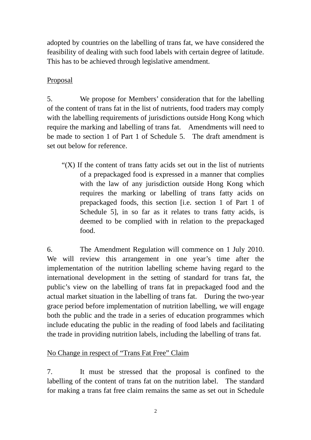adopted by countries on the labelling of trans fat, we have considered the feasibility of dealing with such food labels with certain degree of latitude. This has to be achieved through legislative amendment.

## Proposal

5. We propose for Members' consideration that for the labelling of the content of trans fat in the list of nutrients, food traders may comply with the labelling requirements of jurisdictions outside Hong Kong which require the marking and labelling of trans fat. Amendments will need to be made to section 1 of Part 1 of Schedule 5. The draft amendment is set out below for reference.

" $(X)$  If the content of trans fatty acids set out in the list of nutrients of a prepackaged food is expressed in a manner that complies with the law of any jurisdiction outside Hong Kong which requires the marking or labelling of trans fatty acids on prepackaged foods, this section [i.e. section 1 of Part 1 of Schedule 5], in so far as it relates to trans fatty acids, is deemed to be complied with in relation to the prepackaged food.

6. The Amendment Regulation will commence on 1 July 2010. We will review this arrangement in one year's time after the implementation of the nutrition labelling scheme having regard to the international development in the setting of standard for trans fat, the public's view on the labelling of trans fat in prepackaged food and the actual market situation in the labelling of trans fat. During the two-year grace period before implementation of nutrition labelling, we will engage both the public and the trade in a series of education programmes which include educating the public in the reading of food labels and facilitating the trade in providing nutrition labels, including the labelling of trans fat.

## No Change in respect of "Trans Fat Free" Claim

7. It must be stressed that the proposal is confined to the labelling of the content of trans fat on the nutrition label. The standard for making a trans fat free claim remains the same as set out in Schedule